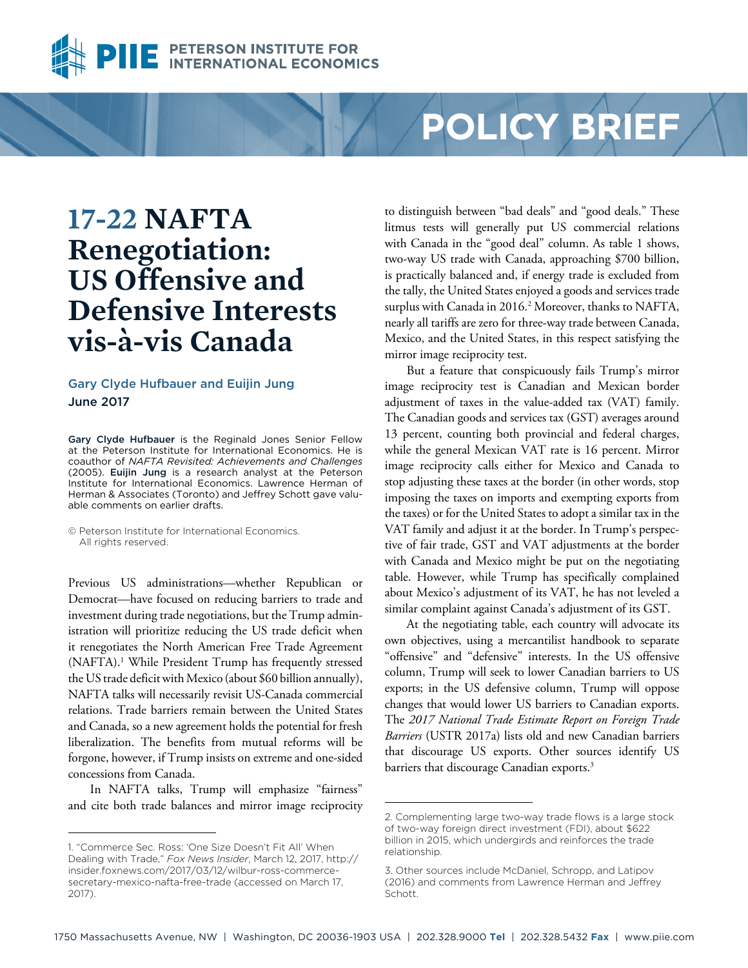

# **POLICY BRIEF**

## **17-22 NAFTA Renegotiation: US Offensive and Defensive Interests vis-à-vis Canada**

#### Gary Clyde Hufbauer and Euijin Jung June 2017

Gary Clyde Hufbauer is the Reginald Jones Senior Fellow at the Peterson Institute for International Economics. He is coauthor of *NAFTA Revisited: Achievements and Challenges*  (2005). Euijin Jung is a research analyst at the Peterson Institute for International Economics. Lawrence Herman of Herman & Associates (Toronto) and Jeffrey Schott gave valuable comments on earlier drafts.

© Peterson Institute for International Economics. All rights reserved.

Previous US administrations—whether Republican or Democrat—have focused on reducing barriers to trade and investment during trade negotiations, but the Trump administration will prioritize reducing the US trade deficit when it renegotiates the North American Free Trade Agreement (NAFTA).<sup>1</sup> While President Trump has frequently stressed the US trade deficit with Mexico (about \$60 billion annually), NAFTA talks will necessarily revisit US-Canada commercial relations. Trade barriers remain between the United States and Canada, so a new agreement holds the potential for fresh liberalization. The benefits from mutual reforms will be forgone, however, if Trump insists on extreme and one-sided concessions from Canada.

In NAFTA talks, Trump will emphasize "fairness" and cite both trade balances and mirror image reciprocity to distinguish between "bad deals" and "good deals." These litmus tests will generally put US commercial relations with Canada in the "good deal" column. As table 1 shows, two-way US trade with Canada, approaching \$700 billion, is practically balanced and, if energy trade is excluded from the tally, the United States enjoyed a goods and services trade surplus with Canada in 2016.<sup>2</sup> Moreover, thanks to NAFTA, nearly all tariffs are zero for three-way trade between Canada, Mexico, and the United States, in this respect satisfying the mirror image reciprocity test.

But a feature that conspicuously fails Trump's mirror image reciprocity test is Canadian and Mexican border adjustment of taxes in the value-added tax (VAT) family. The Canadian goods and services tax (GST) averages around 13 percent, counting both provincial and federal charges, while the general Mexican VAT rate is 16 percent. Mirror image reciprocity calls either for Mexico and Canada to stop adjusting these taxes at the border (in other words, stop imposing the taxes on imports and exempting exports from the taxes) or for the United States to adopt a similar tax in the VAT family and adjust it at the border. In Trump's perspective of fair trade, GST and VAT adjustments at the border with Canada and Mexico might be put on the negotiating table. However, while Trump has specifically complained about Mexico's adjustment of its VAT, he has not leveled a similar complaint against Canada's adjustment of its GST.

At the negotiating table, each country will advocate its own objectives, using a mercantilist handbook to separate "offensive" and "defensive" interests. In the US offensive column, Trump will seek to lower Canadian barriers to US exports; in the US defensive column, Trump will oppose changes that would lower US barriers to Canadian exports. The *2017 National Trade Estimate Report on Foreign Trade Barriers* (USTR 2017a) lists old and new Canadian barriers that discourage US exports. Other sources identify US barriers that discourage Canadian exports.<sup>3</sup>

<sup>1. &</sup>quot;Commerce Sec. Ross: 'One Size Doesn't Fit All' When Dealing with Trade," *Fox News Insider*, March 12, 2017, http:// insider.foxnews.com/2017/03/12/wilbur-ross-commercesecretary-mexico-nafta-free-trade (accessed on March 17, 2017).

<sup>2.</sup> Complementing large two-way trade flows is a large stock of two-way foreign direct investment (FDI), about \$622 billion in 2015, which undergirds and reinforces the trade relationship.

<sup>3.</sup> Other sources include McDaniel, Schropp, and Latipov (2016) and comments from Lawrence Herman and Jeffrey Schott.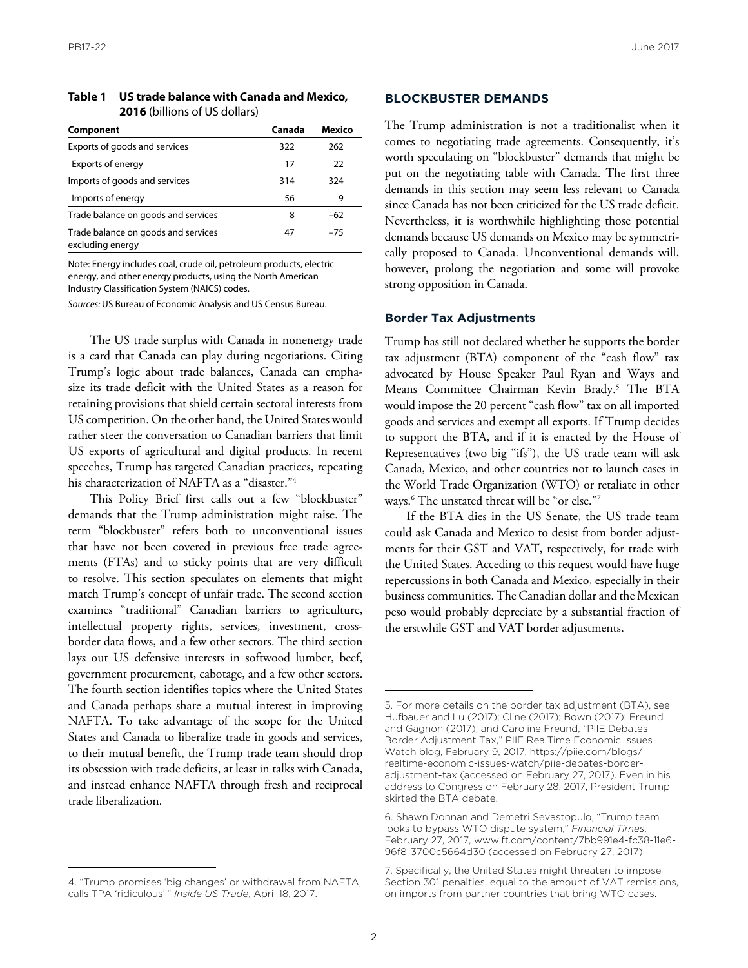| Table 1 US trade balance with Canada and Mexico. |
|--------------------------------------------------|
| <b>2016</b> (billions of US dollars)             |

| Component                                               | Canada | Mexico |
|---------------------------------------------------------|--------|--------|
| Exports of goods and services                           | 322    | 262    |
| Exports of energy                                       | 17     | 22     |
| Imports of goods and services                           | 314    | 324    |
| Imports of energy                                       | 56     | 9      |
| Trade balance on goods and services                     | 8      | $-62$  |
| Trade balance on goods and services<br>excluding energy | 47     | $-75$  |

Note: Energy includes coal, crude oil, petroleum products, electric energy, and other energy products, using the North American Industry Classification System (NAICS) codes.

*Sources:* US Bureau of Economic Analysis and US Census Bureau.

The US trade surplus with Canada in nonenergy trade is a card that Canada can play during negotiations. Citing Trump's logic about trade balances, Canada can emphasize its trade deficit with the United States as a reason for retaining provisions that shield certain sectoral interests from US competition. On the other hand, the United States would rather steer the conversation to Canadian barriers that limit US exports of agricultural and digital products. In recent speeches, Trump has targeted Canadian practices, repeating his characterization of NAFTA as a "disaster."4

This Policy Brief first calls out a few "blockbuster" demands that the Trump administration might raise. The term "blockbuster" refers both to unconventional issues that have not been covered in previous free trade agreements (FTAs) and to sticky points that are very difficult to resolve. This section speculates on elements that might match Trump's concept of unfair trade. The second section examines "traditional" Canadian barriers to agriculture, intellectual property rights, services, investment, crossborder data flows, and a few other sectors. The third section lays out US defensive interests in softwood lumber, beef, government procurement, cabotage, and a few other sectors. The fourth section identifies topics where the United States and Canada perhaps share a mutual interest in improving NAFTA. To take advantage of the scope for the United States and Canada to liberalize trade in goods and services, to their mutual benefit, the Trump trade team should drop its obsession with trade deficits, at least in talks with Canada, and instead enhance NAFTA through fresh and reciprocal trade liberalization.

#### **BLOCKBUSTER DEMANDS**

The Trump administration is not a traditionalist when it comes to negotiating trade agreements. Consequently, it's worth speculating on "blockbuster" demands that might be put on the negotiating table with Canada. The first three demands in this section may seem less relevant to Canada since Canada has not been criticized for the US trade deficit. Nevertheless, it is worthwhile highlighting those potential demands because US demands on Mexico may be symmetrically proposed to Canada. Unconventional demands will, however, prolong the negotiation and some will provoke strong opposition in Canada.

#### **Border Tax Adjustments**

Trump has still not declared whether he supports the border tax adjustment (BTA) component of the "cash flow" tax advocated by House Speaker Paul Ryan and Ways and Means Committee Chairman Kevin Brady.<sup>5</sup> The BTA would impose the 20 percent "cash flow" tax on all imported goods and services and exempt all exports. If Trump decides to support the BTA, and if it is enacted by the House of Representatives (two big "ifs"), the US trade team will ask Canada, Mexico, and other countries not to launch cases in the World Trade Organization (WTO) or retaliate in other ways.6 The unstated threat will be "or else."7

If the BTA dies in the US Senate, the US trade team could ask Canada and Mexico to desist from border adjustments for their GST and VAT, respectively, for trade with the United States. Acceding to this request would have huge repercussions in both Canada and Mexico, especially in their business communities. The Canadian dollar and the Mexican peso would probably depreciate by a substantial fraction of the erstwhile GST and VAT border adjustments.

<sup>4. &</sup>quot;Trump promises 'big changes' or withdrawal from NAFTA, calls TPA 'ridiculous'," *Inside US Trade*, April 18, 2017.

<sup>5.</sup> For more details on the border tax adjustment (BTA), see Hufbauer and Lu (2017); Cline (2017); Bown (2017); Freund and Gagnon (2017); and Caroline Freund, "PIIE Debates Border Adjustment Tax," PIIE RealTime Economic Issues Watch blog, February 9, 2017, https://piie.com/blogs/ [realtime-economic-issues-watch/piie-debates-border](https://piie.com/blogs/realtime-economic-issues-watch/piie-debates-border-adjustment-tax)adjustment-tax (accessed on February 27, 2017). Even in his address to Congress on February 28, 2017, President Trump skirted the BTA debate.

<sup>6.</sup> Shawn Donnan and Demetri Sevastopulo, "Trump team looks to bypass WTO dispute system," *Financial Times*, February 27, 2017, www.ft.com/content/7bb991e4-fc38-11e6- 96f8-3700c5664d30 (accessed on February 27, 2017).

<sup>7.</sup> Specifically, the United States might threaten to impose Section 301 penalties, equal to the amount of VAT remissions, on imports from partner countries that bring WTO cases.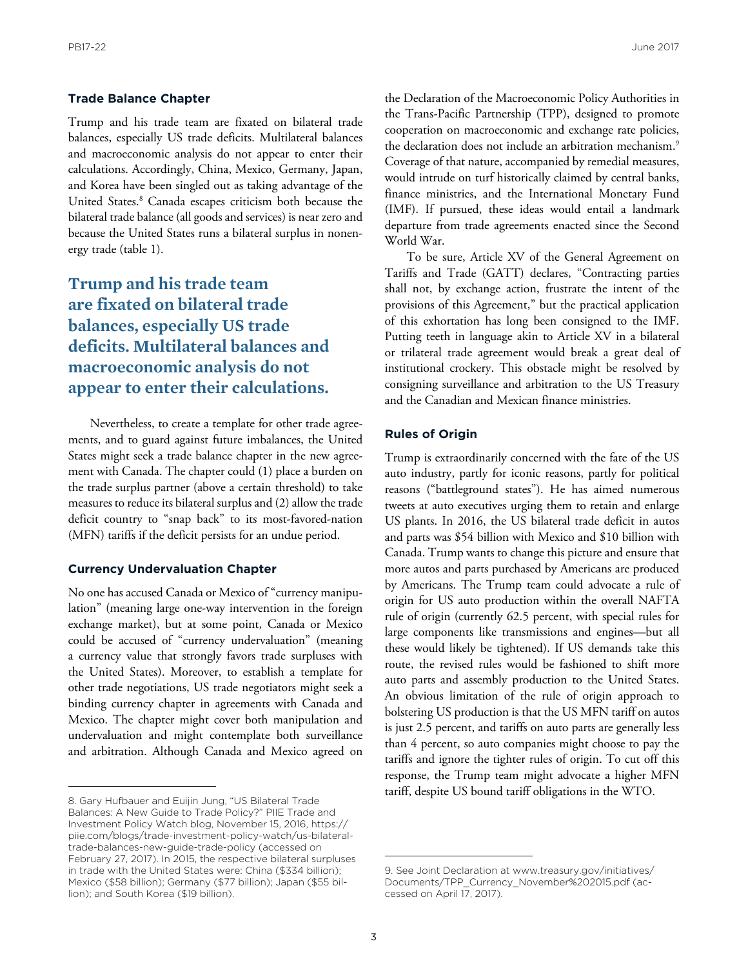#### **Trade Balance Chapter**

Trump and his trade team are fixated on bilateral trade balances, especially US trade deficits. Multilateral balances and macroeconomic analysis do not appear to enter their calculations. Accordingly, China, Mexico, Germany, Japan, and Korea have been singled out as taking advantage of the United States.<sup>8</sup> Canada escapes criticism both because the bilateral trade balance (all goods and services) is near zero and because the United States runs a bilateral surplus in nonenergy trade (table 1).

**Trump and his trade team are fixated on bilateral trade balances, especially US trade deficits. Multilateral balances and macroeconomic analysis do not appear to enter their calculations.**

Nevertheless, to create a template for other trade agreements, and to guard against future imbalances, the United States might seek a trade balance chapter in the new agreement with Canada. The chapter could (1) place a burden on the trade surplus partner (above a certain threshold) to take measures to reduce its bilateral surplus and (2) allow the trade deficit country to "snap back" to its most-favored-nation (MFN) tariffs if the deficit persists for an undue period.

#### **Currency Undervaluation Chapter**

No one has accused Canada or Mexico of "currency manipulation" (meaning large one-way intervention in the foreign exchange market), but at some point, Canada or Mexico could be accused of "currency undervaluation" (meaning a currency value that strongly favors trade surpluses with the United States). Moreover, to establish a template for other trade negotiations, US trade negotiators might seek a binding currency chapter in agreements with Canada and Mexico. The chapter might cover both manipulation and undervaluation and might contemplate both surveillance and arbitration. Although Canada and Mexico agreed on

the Declaration of the Macroeconomic Policy Authorities in the Trans-Pacific Partnership (TPP), designed to promote cooperation on macroeconomic and exchange rate policies, the declaration does not include an arbitration mechanism.<sup>9</sup> Coverage of that nature, accompanied by remedial measures, would intrude on turf historically claimed by central banks, finance ministries, and the International Monetary Fund (IMF). If pursued, these ideas would entail a landmark departure from trade agreements enacted since the Second World War.

To be sure, Article XV of the General Agreement on Tariffs and Trade (GATT) declares, "Contracting parties shall not, by exchange action, frustrate the intent of the provisions of this Agreement," but the practical application of this exhortation has long been consigned to the IMF. Putting teeth in language akin to Article XV in a bilateral or trilateral trade agreement would break a great deal of institutional crockery. This obstacle might be resolved by consigning surveillance and arbitration to the US Treasury and the Canadian and Mexican finance ministries.

#### **Rules of Origin**

Trump is extraordinarily concerned with the fate of the US auto industry, partly for iconic reasons, partly for political reasons ("battleground states"). He has aimed numerous tweets at auto executives urging them to retain and enlarge US plants. In 2016, the US bilateral trade deficit in autos and parts was \$54 billion with Mexico and \$10 billion with Canada. Trump wants to change this picture and ensure that more autos and parts purchased by Americans are produced by Americans. The Trump team could advocate a rule of origin for US auto production within the overall NAFTA rule of origin (currently 62.5 percent, with special rules for large components like transmissions and engines—but all these would likely be tightened). If US demands take this route, the revised rules would be fashioned to shift more auto parts and assembly production to the United States. An obvious limitation of the rule of origin approach to bolstering US production is that the US MFN tariff on autos is just 2.5 percent, and tariffs on auto parts are generally less than 4 percent, so auto companies might choose to pay the tariffs and ignore the tighter rules of origin. To cut off this response, the Trump team might advocate a higher MFN tariff, despite US bound tariff obligations in the WTO.

<sup>8.</sup> Gary Hufbauer and Euijin Jung, "US Bilateral Trade Balances: A New Guide to Trade Policy?" PIIE Trade and Investment Policy Watch blog, November 15, 2016, https:// piie.com/blogs/trade-investment-policy-watch/us-bilateraltrade-balances-new-guide-trade-policy (accessed on February 27, 2017). In 2015, the respective bilateral surpluses in trade with the United States were: China (\$334 billion); Mexico (\$58 billion); Germany (\$77 billion); Japan (\$55 billion); and South Korea (\$19 billion).

[<sup>9.</sup> See Joint Declaration at www.treasury.gov/initiatives/](www.treasury.gov/initiatives/Documents/TPP_Currency_November%202015.pdf) Documents/TPP\_Currency\_November%202015.pdf (accessed on April 17, 2017).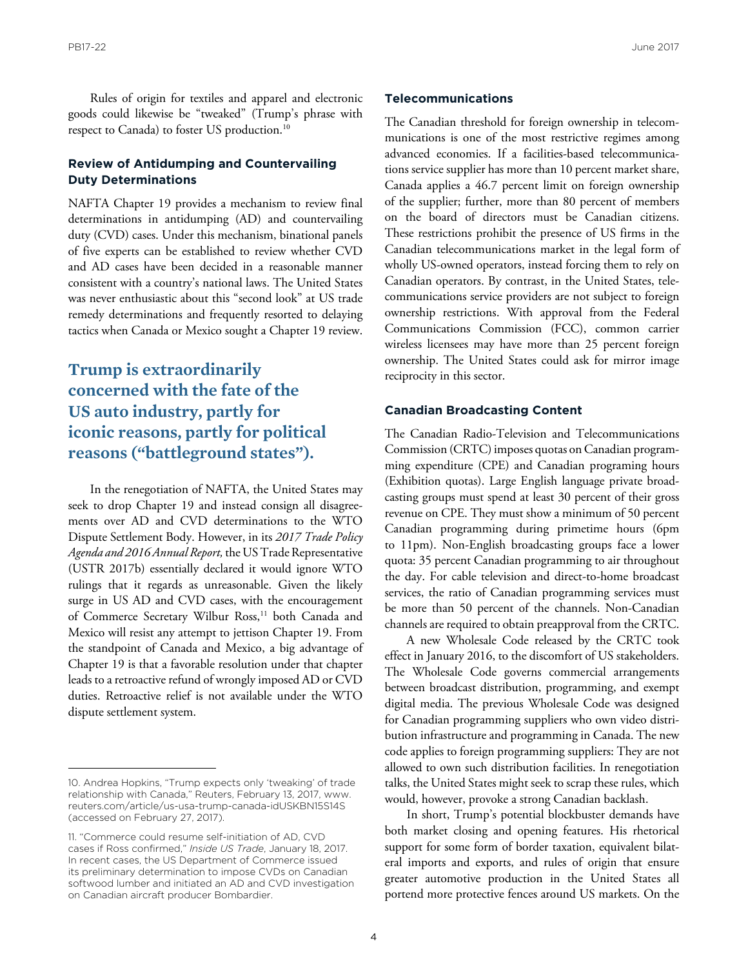Rules of origin for textiles and apparel and electronic goods could likewise be "tweaked" (Trump's phrase with respect to Canada) to foster US production.<sup>10</sup>

#### **Review of Antidumping and Countervailing Duty Determinations**

NAFTA Chapter 19 provides a mechanism to review final determinations in antidumping (AD) and countervailing duty (CVD) cases. Under this mechanism, binational panels of five experts can be established to review whether CVD and AD cases have been decided in a reasonable manner consistent with a country's national laws. The United States was never enthusiastic about this "second look" at US trade remedy determinations and frequently resorted to delaying tactics when Canada or Mexico sought a Chapter 19 review.

## **Trump is extraordinarily concerned with the fate of the US auto industry, partly for iconic reasons, partly for political reasons ("battleground states").**

In the renegotiation of NAFTA, the United States may seek to drop Chapter 19 and instead consign all disagreements over AD and CVD determinations to the WTO Dispute Settlement Body. However, in its *2017 Trade Policy Agenda and 2016 Annual Report,* the US Trade Representative (USTR 2017b) essentially declared it would ignore WTO rulings that it regards as unreasonable. Given the likely surge in US AD and CVD cases, with the encouragement of Commerce Secretary Wilbur Ross,<sup>11</sup> both Canada and Mexico will resist any attempt to jettison Chapter 19. From the standpoint of Canada and Mexico, a big advantage of Chapter 19 is that a favorable resolution under that chapter leads to a retroactive refund of wrongly imposed AD or CVD duties. Retroactive relief is not available under the WTO dispute settlement system.

#### **Telecommunications**

The Canadian threshold for foreign ownership in telecommunications is one of the most restrictive regimes among advanced economies. If a facilities-based telecommunications service supplier has more than 10 percent market share, Canada applies a 46.7 percent limit on foreign ownership of the supplier; further, more than 80 percent of members on the board of directors must be Canadian citizens. These restrictions prohibit the presence of US firms in the Canadian telecommunications market in the legal form of wholly US-owned operators, instead forcing them to rely on Canadian operators. By contrast, in the United States, telecommunications service providers are not subject to foreign ownership restrictions. With approval from the Federal Communications Commission (FCC), common carrier wireless licensees may have more than 25 percent foreign ownership. The United States could ask for mirror image reciprocity in this sector.

#### **Canadian Broadcasting Content**

The Canadian Radio-Television and Telecommunications Commission (CRTC) imposes quotas on Canadian programming expenditure (CPE) and Canadian programing hours (Exhibition quotas). Large English language private broadcasting groups must spend at least 30 percent of their gross revenue on CPE. They must show a minimum of 50 percent Canadian programming during primetime hours (6pm to 11pm). Non-English broadcasting groups face a lower quota: 35 percent Canadian programming to air throughout the day. For cable television and direct-to-home broadcast services, the ratio of Canadian programming services must be more than 50 percent of the channels. Non-Canadian channels are required to obtain preapproval from the CRTC.

A new Wholesale Code released by the CRTC took effect in January 2016, to the discomfort of US stakeholders. The Wholesale Code governs commercial arrangements between broadcast distribution, programming, and exempt digital media. The previous Wholesale Code was designed for Canadian programming suppliers who own video distribution infrastructure and programming in Canada. The new code applies to foreign programming suppliers: They are not allowed to own such distribution facilities. In renegotiation talks, the United States might seek to scrap these rules, which would, however, provoke a strong Canadian backlash.

In short, Trump's potential blockbuster demands have both market closing and opening features. His rhetorical support for some form of border taxation, equivalent bilateral imports and exports, and rules of origin that ensure greater automotive production in the United States all portend more protective fences around US markets. On the

<sup>10.</sup> Andrea Hopkins, "Trump expects only 'tweaking' of trade relationship with Canada," Reuters, February 13, 2017, www. reuters.com/article/us-usa-trump-canada-idUSKBN15S14S (accessed on February 27, 2017).

<sup>11. &</sup>quot;Commerce could resume self-initiation of AD, CVD cases if Ross confirmed," *Inside US Trade*, January 18, 2017. In recent cases, the US Department of Commerce issued its preliminary determination to impose CVDs on Canadian softwood lumber and initiated an AD and CVD investigation on Canadian aircraft producer Bombardier.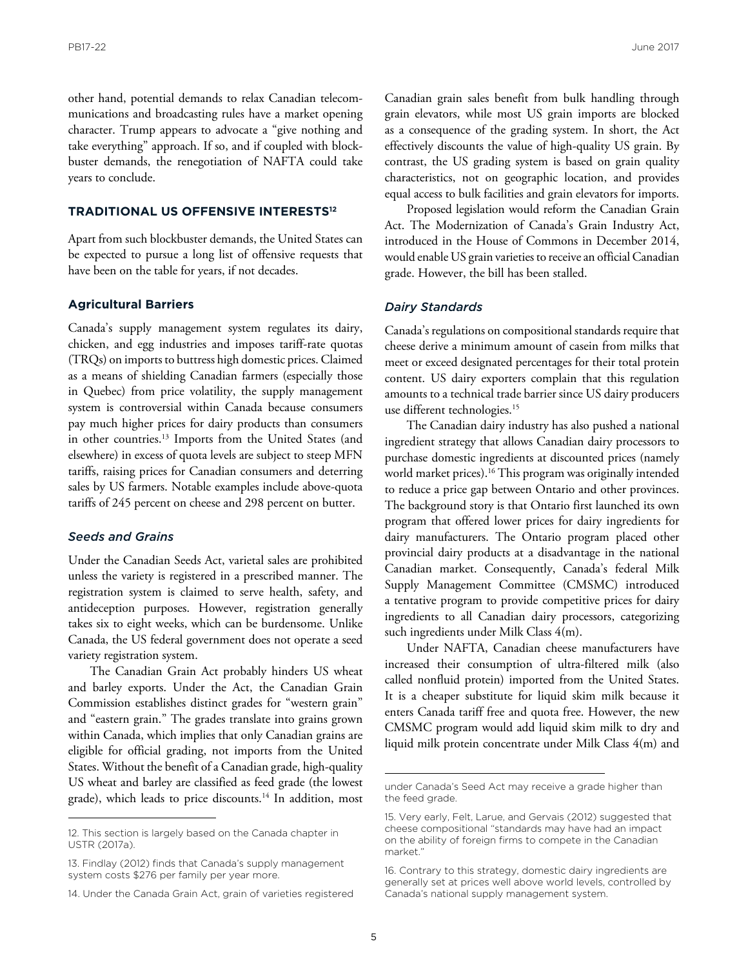other hand, potential demands to relax Canadian telecommunications and broadcasting rules have a market opening character. Trump appears to advocate a "give nothing and take everything" approach. If so, and if coupled with blockbuster demands, the renegotiation of NAFTA could take years to conclude.

#### **TRADITIONAL US OFFENSIVE INTERESTS12**

Apart from such blockbuster demands, the United States can be expected to pursue a long list of offensive requests that have been on the table for years, if not decades.

#### **Agricultural Barriers**

Canada's supply management system regulates its dairy, chicken, and egg industries and imposes tariff-rate quotas (TRQs) on imports to buttress high domestic prices. Claimed as a means of shielding Canadian farmers (especially those in Quebec) from price volatility, the supply management system is controversial within Canada because consumers pay much higher prices for dairy products than consumers in other countries.<sup>13</sup> Imports from the United States (and elsewhere) in excess of quota levels are subject to steep MFN tariffs, raising prices for Canadian consumers and deterring sales by US farmers. Notable examples include above-quota tariffs of 245 percent on cheese and 298 percent on butter.

#### *Seeds and Grains*

Under the Canadian Seeds Act, varietal sales are prohibited unless the variety is registered in a prescribed manner. The registration system is claimed to serve health, safety, and antideception purposes. However, registration generally takes six to eight weeks, which can be burdensome. Unlike Canada, the US federal government does not operate a seed variety registration system.

The Canadian Grain Act probably hinders US wheat and barley exports. Under the Act, the Canadian Grain Commission establishes distinct grades for "western grain" and "eastern grain." The grades translate into grains grown within Canada, which implies that only Canadian grains are eligible for official grading, not imports from the United States. Without the benefit of a Canadian grade, high-quality US wheat and barley are classified as feed grade (the lowest grade), which leads to price discounts.<sup>14</sup> In addition, most Canadian grain sales benefit from bulk handling through grain elevators, while most US grain imports are blocked as a consequence of the grading system. In short, the Act effectively discounts the value of high-quality US grain. By contrast, the US grading system is based on grain quality characteristics, not on geographic location, and provides equal access to bulk facilities and grain elevators for imports.

Proposed legislation would reform the Canadian Grain Act. The Modernization of Canada's Grain Industry Act, introduced in the House of Commons in December 2014, would enable US grain varieties to receive an official Canadian grade. However, the bill has been stalled.

#### *Dairy Standards*

Canada's regulations on compositional standards require that cheese derive a minimum amount of casein from milks that meet or exceed designated percentages for their total protein content. US dairy exporters complain that this regulation amounts to a technical trade barrier since US dairy producers use different technologies.15

The Canadian dairy industry has also pushed a national ingredient strategy that allows Canadian dairy processors to purchase domestic ingredients at discounted prices (namely world market prices).<sup>16</sup> This program was originally intended to reduce a price gap between Ontario and other provinces. The background story is that Ontario first launched its own program that offered lower prices for dairy ingredients for dairy manufacturers. The Ontario program placed other provincial dairy products at a disadvantage in the national Canadian market. Consequently, Canada's federal Milk Supply Management Committee (CMSMC) introduced a tentative program to provide competitive prices for dairy ingredients to all Canadian dairy processors, categorizing such ingredients under Milk Class 4(m).

Under NAFTA, Canadian cheese manufacturers have increased their consumption of ultra-filtered milk (also called nonfluid protein) imported from the United States. It is a cheaper substitute for liquid skim milk because it enters Canada tariff free and quota free. However, the new CMSMC program would add liquid skim milk to dry and liquid milk protein concentrate under Milk Class 4(m) and

<sup>12.</sup> This section is largely based on the Canada chapter in USTR (2017a).

<sup>13.</sup> Findlay (2012) finds that Canada's supply management system costs \$276 per family per year more.

<sup>14.</sup> Under the Canada Grain Act, grain of varieties registered

under Canada's Seed Act may receive a grade higher than the feed grade.

<sup>15.</sup> Very early, Felt, Larue, and Gervais (2012) suggested that cheese compositional "standards may have had an impact on the ability of foreign firms to compete in the Canadian market."

<sup>16.</sup> Contrary to this strategy, domestic dairy ingredients are generally set at prices well above world levels, controlled by Canada's national supply management system.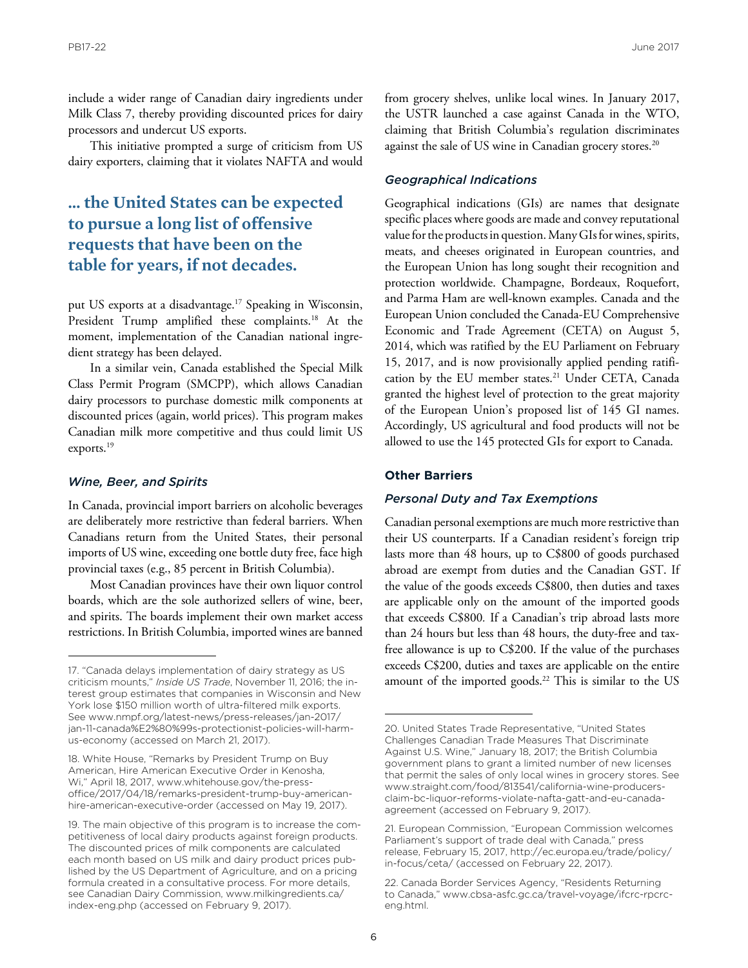include a wider range of Canadian dairy ingredients under Milk Class 7, thereby providing discounted prices for dairy processors and undercut US exports.

This initiative prompted a surge of criticism from US dairy exporters, claiming that it violates NAFTA and would

## **… the United States can be expected to pursue a long list of offensive requests that have been on the table for years, if not decades.**

put US exports at a disadvantage.17 Speaking in Wisconsin, President Trump amplified these complaints.<sup>18</sup> At the moment, implementation of the Canadian national ingredient strategy has been delayed.

In a similar vein, Canada established the Special Milk Class Permit Program (SMCPP), which allows Canadian dairy processors to purchase domestic milk components at discounted prices (again, world prices). This program makes Canadian milk more competitive and thus could limit US exports.<sup>19</sup>

#### *Wine, Beer, and Spirits*

In Canada, provincial import barriers on alcoholic beverages are deliberately more restrictive than federal barriers. When Canadians return from the United States, their personal imports of US wine, exceeding one bottle duty free, face high provincial taxes (e.g., 85 percent in British Columbia).

Most Canadian provinces have their own liquor control boards, which are the sole authorized sellers of wine, beer, and spirits. The boards implement their own market access restrictions. In British Columbia, imported wines are banned

from grocery shelves, unlike local wines. In January 2017, the USTR launched a case against Canada in the WTO, claiming that British Columbia's regulation discriminates against the sale of US wine in Canadian grocery stores.<sup>20</sup>

#### *Geographical Indications*

Geographical indications (GIs) are names that designate specific places where goods are made and convey reputational value for the products in question. Many GIs for wines, spirits, meats, and cheeses originated in European countries, and the European Union has long sought their recognition and protection worldwide. Champagne, Bordeaux, Roquefort, and Parma Ham are well-known examples. Canada and the European Union concluded the Canada-EU Comprehensive Economic and Trade Agreement (CETA) on August 5, 2014, which was ratified by the EU Parliament on February 15, 2017, and is now provisionally applied pending ratification by the EU member states.<sup>21</sup> Under CETA, Canada granted the highest level of protection to the great majority of the European Union's proposed list of 145 GI names. Accordingly, US agricultural and food products will not be allowed to use the 145 protected GIs for export to Canada.

#### **Other Barriers**

#### *Personal Duty and Tax Exemptions*

Canadian personal exemptions are much more restrictive than their US counterparts. If a Canadian resident's foreign trip lasts more than 48 hours, up to C\$800 of goods purchased abroad are exempt from duties and the Canadian GST. If the value of the goods exceeds C\$800, then duties and taxes are applicable only on the amount of the imported goods that exceeds C\$800*.* If a Canadian's trip abroad lasts more than 24 hours but less than 48 hours, the duty-free and taxfree allowance is up to C\$200. If the value of the purchases exceeds C\$200, duties and taxes are applicable on the entire amount of the imported goods.<sup>22</sup> This is similar to the US

<sup>17. &</sup>quot;Canada delays implementation of dairy strategy as US criticism mounts," *Inside US Trade*, November 11, 2016; the interest group estimates that companies in Wisconsin and New York lose \$150 million worth of ultra-filtered milk exports. See www.nmpf.org/latest-news/press-releases/jan-2017/ [jan-11-canada%E2%80%99s-protectionist-policies-will-harm](www.nmpf.org/latest-news/press-releases/jan-2017/jan-11-canada%E2%80%99s-protectionist-policies-will-harm-us-economy)us-economy (accessed on March 21, 2017).

<sup>18.</sup> White House, "Remarks by President Trump on Buy American, Hire American Executive Order in Kenosha, Wi," April 18, 2017, www.whitehouse.gov/the-pressoffice/2017/04/18/remarks-president-trump-buy-americanhire-american-executive-order (accessed on May 19, 2017).

<sup>19.</sup> The main objective of this program is to increase the competitiveness of local dairy products against foreign products. The discounted prices of milk components are calculated each month based on US milk and dairy product prices published by the US Department of Agriculture, and on a pricing formula created in a consultative process. For more details, [see Canadian Dairy Commission, www.milkingredients.ca/](www.milkingredients.ca/index-eng.php) index-eng.php (accessed on February 9, 2017).

<sup>20.</sup> United States Trade Representative, "United States Challenges Canadian Trade Measures That Discriminate Against U.S. Wine," January 18, 2017; the British Columbia government plans to grant a limited number of new licenses that permit the sales of only local wines in grocery stores. See www.straight.com/food/813541/california-wine-producersclaim-bc-liquor-reforms-violate-nafta-gatt-and-eu-canadaagreement (accessed on February 9, 2017).

<sup>21.</sup> European Commission, "European Commission welcomes Parliament's support of trade deal with Canada," press [release, February 15, 2017, http://ec.europa.eu/trade/policy/](http://ec.europa.eu/trade/policy/in-focus/ceta/) in-focus/ceta/ (accessed on February 22, 2017).

<sup>22.</sup> Canada Border Services Agency, "Residents Returning to Canada," www.cbsa-asfc.gc.ca/travel-voyage/ifcrc-rpcrceng.html.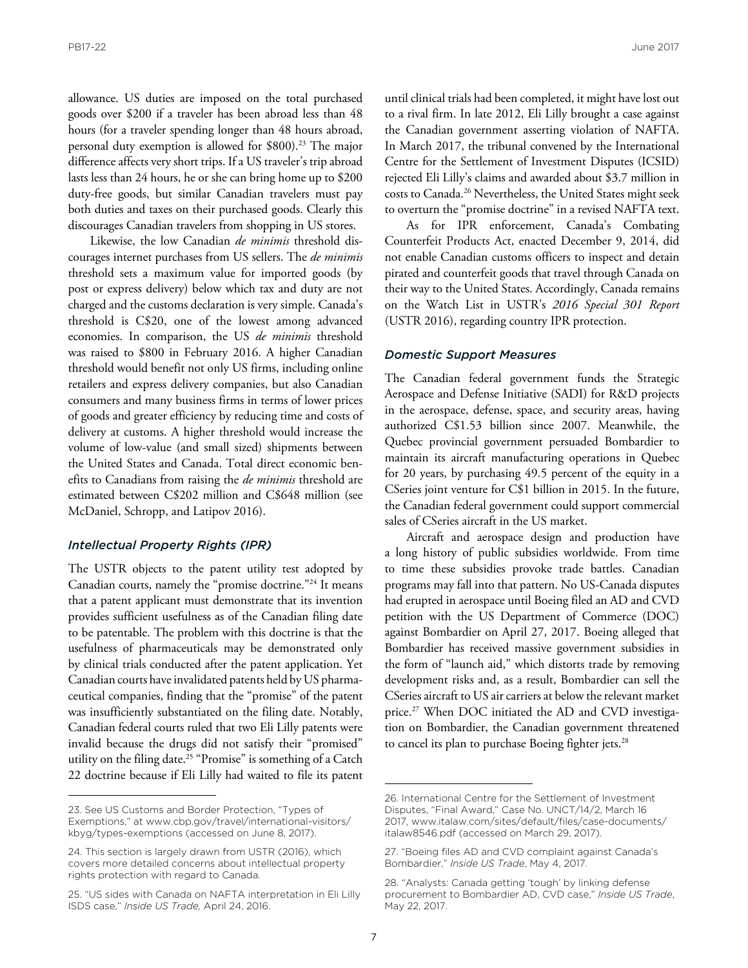allowance. US duties are imposed on the total purchased goods over \$200 if a traveler has been abroad less than 48 hours (for a traveler spending longer than 48 hours abroad, personal duty exemption is allowed for \$800).<sup>23</sup> The major difference affects very short trips. If a US traveler's trip abroad lasts less than 24 hours, he or she can bring home up to \$200 duty-free goods, but similar Canadian travelers must pay both duties and taxes on their purchased goods. Clearly this discourages Canadian travelers from shopping in US stores.

Likewise, the low Canadian *de minimis* threshold discourages internet purchases from US sellers. The *de minimis* threshold sets a maximum value for imported goods (by post or express delivery) below which tax and duty are not charged and the customs declaration is very simple. Canada's threshold is C\$20, one of the lowest among advanced economies. In comparison, the US *de minimis* threshold was raised to \$800 in February 2016. A higher Canadian threshold would benefit not only US firms, including online retailers and express delivery companies, but also Canadian consumers and many business firms in terms of lower prices of goods and greater efficiency by reducing time and costs of delivery at customs. A higher threshold would increase the volume of low-value (and small sized) shipments between the United States and Canada. Total direct economic benefits to Canadians from raising the *de minimis* threshold are estimated between C\$202 million and C\$648 million (see McDaniel, Schropp, and Latipov 2016).

#### *Intellectual Property Rights (IPR)*

The USTR objects to the patent utility test adopted by Canadian courts, namely the "promise doctrine."24 It means that a patent applicant must demonstrate that its invention provides sufficient usefulness as of the Canadian filing date to be patentable. The problem with this doctrine is that the usefulness of pharmaceuticals may be demonstrated only by clinical trials conducted after the patent application. Yet Canadian courts have invalidated patents held by US pharmaceutical companies, finding that the "promise" of the patent was insufficiently substantiated on the filing date. Notably, Canadian federal courts ruled that two Eli Lilly patents were invalid because the drugs did not satisfy their "promised" utility on the filing date.25 "Promise" is something of a Catch 22 doctrine because if Eli Lilly had waited to file its patent

until clinical trials had been completed, it might have lost out to a rival firm. In late 2012, Eli Lilly brought a case against the Canadian government asserting violation of NAFTA. In March 2017, the tribunal convened by the International Centre for the Settlement of Investment Disputes (ICSID) rejected Eli Lilly's claims and awarded about \$3.7 million in costs to Canada.26 Nevertheless, the United States might seek to overturn the "promise doctrine" in a revised NAFTA text.

As for IPR enforcement, Canada's Combating Counterfeit Products Act, enacted December 9, 2014, did not enable Canadian customs officers to inspect and detain pirated and counterfeit goods that travel through Canada on their way to the United States. Accordingly, Canada remains on the Watch List in USTR's *2016 Special 301 Report* (USTR 2016), regarding country IPR protection.

#### *Domestic Support Measures*

The Canadian federal government funds the Strategic Aerospace and Defense Initiative (SADI) for R&D projects in the aerospace, defense, space, and security areas, having authorized C\$1.53 billion since 2007. Meanwhile, the Quebec provincial government persuaded Bombardier to maintain its aircraft manufacturing operations in Quebec for 20 years, by purchasing 49.5 percent of the equity in a CSeries joint venture for C\$1 billion in 2015. In the future, the Canadian federal government could support commercial sales of CSeries aircraft in the US market.

Aircraft and aerospace design and production have a long history of public subsidies worldwide. From time to time these subsidies provoke trade battles. Canadian programs may fall into that pattern. No US-Canada disputes had erupted in aerospace until Boeing filed an AD and CVD petition with the US Department of Commerce (DOC) against Bombardier on April 27, 2017. Boeing alleged that Bombardier has received massive government subsidies in the form of "launch aid," which distorts trade by removing development risks and, as a result, Bombardier can sell the CSeries aircraft to US air carriers at below the relevant market price.<sup>27</sup> When DOC initiated the AD and CVD investigation on Bombardier, the Canadian government threatened to cancel its plan to purchase Boeing fighter jets.<sup>28</sup>

<sup>23.</sup> See US Customs and Border Protection, "Types of [Exemptions," at www.cbp.gov/travel/international-visitors/](www.cbp.gov/travel/international-visitors/kbyg/types-exemptions) kbyg/types-exemptions (accessed on June 8, 2017).

<sup>24.</sup> This section is largely drawn from USTR (2016), which covers more detailed concerns about intellectual property rights protection with regard to Canada.

<sup>25. &</sup>quot;US sides with Canada on NAFTA interpretation in Eli Lilly ISDS case," *Inside US Trade,* April 24, 2016.

<sup>26.</sup> International Centre for the Settlement of Investment Disputes, "Final Award," Case No. UNCT/14/2, March 16 [2017, www.italaw.com/sites/default/files/case-documents/](www.italaw.com/sites/default/files/case-documents/italaw8546.pdf) italaw8546.pdf (accessed on March 29, 2017).

<sup>27. &</sup>quot;Boeing files AD and CVD complaint against Canada's Bombardier," *Inside US Trade*, May 4, 2017.

<sup>28. &</sup>quot;Analysts: Canada getting 'tough' by linking defense procurement to Bombardier AD, CVD case," *Inside US Trade*, May 22, 2017.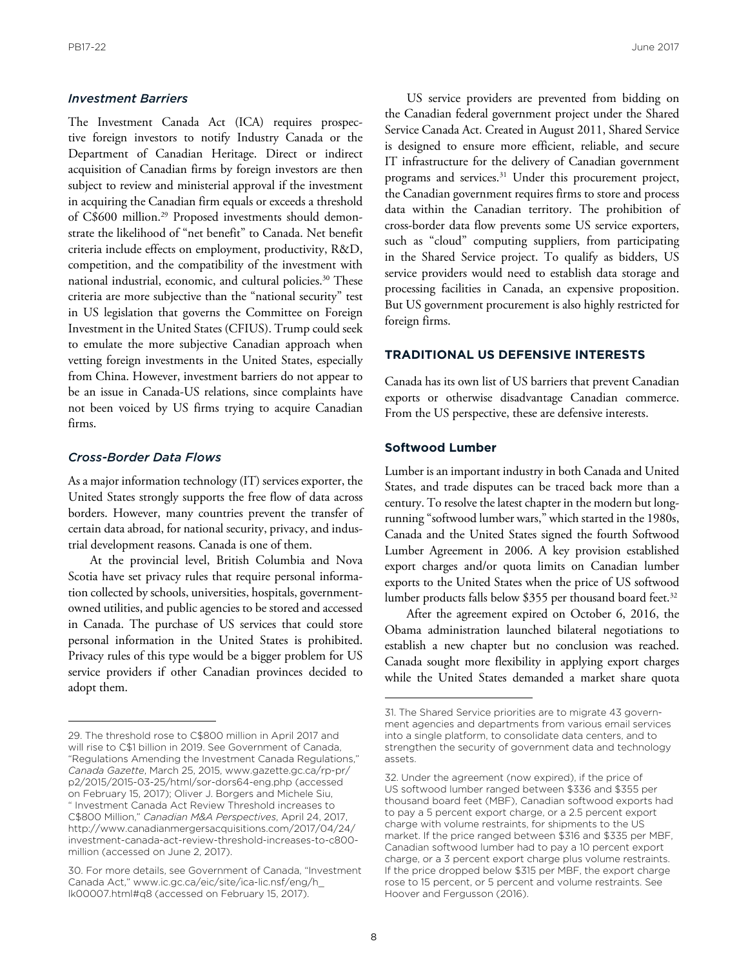#### *Investment Barriers*

The Investment Canada Act (ICA) requires prospective foreign investors to notify Industry Canada or the Department of Canadian Heritage. Direct or indirect acquisition of Canadian firms by foreign investors are then subject to review and ministerial approval if the investment in acquiring the Canadian firm equals or exceeds a threshold of C\$600 million.29 Proposed investments should demonstrate the likelihood of "net benefit" to Canada. Net benefit criteria include effects on employment, productivity, R&D, competition, and the compatibility of the investment with national industrial, economic, and cultural policies.<sup>30</sup> These criteria are more subjective than the "national security" test in US legislation that governs the Committee on Foreign Investment in the United States (CFIUS). Trump could seek to emulate the more subjective Canadian approach when vetting foreign investments in the United States, especially from China. However, investment barriers do not appear to be an issue in Canada-US relations, since complaints have not been voiced by US firms trying to acquire Canadian firms.

#### *Cross-Border Data Flows*

As a major information technology (IT) services exporter, the United States strongly supports the free flow of data across borders. However, many countries prevent the transfer of certain data abroad, for national security, privacy, and industrial development reasons. Canada is one of them.

At the provincial level, British Columbia and Nova Scotia have set privacy rules that require personal information collected by schools, universities, hospitals, governmentowned utilities, and public agencies to be stored and accessed in Canada. The purchase of US services that could store personal information in the United States is prohibited. Privacy rules of this type would be a bigger problem for US service providers if other Canadian provinces decided to adopt them.

US service providers are prevented from bidding on the Canadian federal government project under the Shared Service Canada Act. Created in August 2011, Shared Service is designed to ensure more efficient, reliable, and secure IT infrastructure for the delivery of Canadian government programs and services.31 Under this procurement project, the Canadian government requires firms to store and process data within the Canadian territory. The prohibition of cross-border data flow prevents some US service exporters, such as "cloud" computing suppliers, from participating in the Shared Service project. To qualify as bidders, US service providers would need to establish data storage and processing facilities in Canada, an expensive proposition. But US government procurement is also highly restricted for foreign firms.

#### **TRADITIONAL US DEFENSIVE INTERESTS**

Canada has its own list of US barriers that prevent Canadian exports or otherwise disadvantage Canadian commerce. From the US perspective, these are defensive interests.

#### **Softwood Lumber**

Lumber is an important industry in both Canada and United States, and trade disputes can be traced back more than a century. To resolve the latest chapter in the modern but longrunning "softwood lumber wars," which started in the 1980s, Canada and the United States signed the fourth Softwood Lumber Agreement in 2006. A key provision established export charges and/or quota limits on Canadian lumber exports to the United States when the price of US softwood lumber products falls below \$355 per thousand board feet.<sup>32</sup>

After the agreement expired on October 6, 2016, the Obama administration launched bilateral negotiations to establish a new chapter but no conclusion was reached. Canada sought more flexibility in applying export charges while the United States demanded a market share quota

<sup>29.</sup> The threshold rose to C\$800 million in April 2017 and will rise to C\$1 billion in 2019. See Government of Canada, "Regulations Amending the Investment Canada Regulations," *Canada Gazette*, March 25, 2015, www.gazette.gc.ca/rp-pr/ [p2/2015/2015-03-25/html/sor-dors64-eng.php \(accessed](www.gazette.gc.ca/rp-pr/p2/2015/2015-03-25/html/sor-dors64-eng.php)  on February 15, 2017); Oliver J. Borgers and Michele Siu, " Investment Canada Act Review Threshold increases to C\$800 Million," *Canadian M&A Perspectives*, April 24, 2017, http://www.canadianmergersacquisitions.com/2017/04/24/ [investment-canada-act-review-threshold-increases-to-c800](http://www.canadianmergersacquisitions.com/2017/04/24/investment-canada-act-review-threshold-increases-to-c800-million) million (accessed on June 2, 2017).

<sup>30.</sup> For more details, see Government of Canada, "Investment [Canada Act," www.ic.gc.ca/eic/site/ica-lic.nsf/eng/h\\_](www.ic.gc.ca/eic/site/ica-lic.nsf/eng/h_lk00007.html#q8) lk00007.html#q8 (accessed on February 15, 2017).

<sup>31.</sup> The Shared Service priorities are to migrate 43 government agencies and departments from various email services into a single platform, to consolidate data centers, and to strengthen the security of government data and technology assets.

<sup>32.</sup> Under the agreement (now expired), if the price of US softwood lumber ranged between \$336 and \$355 per thousand board feet (MBF), Canadian softwood exports had to pay a 5 percent export charge, or a 2.5 percent export charge with volume restraints, for shipments to the US market. If the price ranged between \$316 and \$335 per MBF, Canadian softwood lumber had to pay a 10 percent export charge, or a 3 percent export charge plus volume restraints. If the price dropped below \$315 per MBF, the export charge rose to 15 percent, or 5 percent and volume restraints. See Hoover and Fergusson (2016).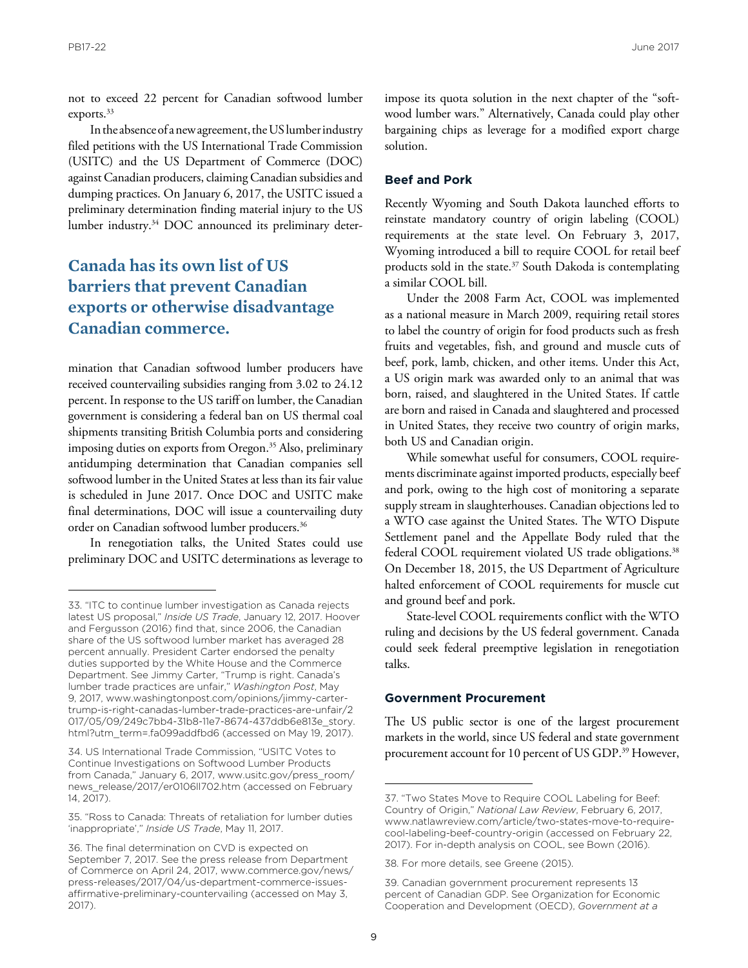not to exceed 22 percent for Canadian softwood lumber exports.33

In the absence of a new agreement, the US lumber industry filed petitions with the US International Trade Commission (USITC) and the US Department of Commerce (DOC) against Canadian producers, claiming Canadian subsidies and dumping practices. On January 6, 2017, the USITC issued a preliminary determination finding material injury to the US lumber industry.34 DOC announced its preliminary deter-

### **Canada has its own list of US barriers that prevent Canadian exports or otherwise disadvantage Canadian commerce.**

mination that Canadian softwood lumber producers have received countervailing subsidies ranging from 3.02 to 24.12 percent. In response to the US tariff on lumber, the Canadian government is considering a federal ban on US thermal coal shipments transiting British Columbia ports and considering imposing duties on exports from Oregon.<sup>35</sup> Also, preliminary antidumping determination that Canadian companies sell softwood lumber in the United States at less than its fair value is scheduled in June 2017. Once DOC and USITC make final determinations, DOC will issue a countervailing duty order on Canadian softwood lumber producers.36

In renegotiation talks, the United States could use preliminary DOC and USITC determinations as leverage to

impose its quota solution in the next chapter of the "softwood lumber wars." Alternatively, Canada could play other bargaining chips as leverage for a modified export charge solution.

#### **Beef and Pork**

Recently Wyoming and South Dakota launched efforts to reinstate mandatory country of origin labeling (COOL) requirements at the state level. On February 3, 2017, Wyoming introduced a bill to require COOL for retail beef products sold in the state.37 South Dakoda is contemplating a similar COOL bill.

Under the 2008 Farm Act, COOL was implemented as a national measure in March 2009, requiring retail stores to label the country of origin for food products such as fresh fruits and vegetables, fish, and ground and muscle cuts of beef, pork, lamb, chicken, and other items. Under this Act, a US origin mark was awarded only to an animal that was born, raised, and slaughtered in the United States. If cattle are born and raised in Canada and slaughtered and processed in United States, they receive two country of origin marks, both US and Canadian origin.

While somewhat useful for consumers, COOL requirements discriminate against imported products, especially beef and pork, owing to the high cost of monitoring a separate supply stream in slaughterhouses. Canadian objections led to a WTO case against the United States. The WTO Dispute Settlement panel and the Appellate Body ruled that the federal COOL requirement violated US trade obligations.<sup>38</sup> On December 18, 2015, the US Department of Agriculture halted enforcement of COOL requirements for muscle cut and ground beef and pork.

State-level COOL requirements conflict with the WTO ruling and decisions by the US federal government. Canada could seek federal preemptive legislation in renegotiation talks.

#### **Government Procurement**

The US public sector is one of the largest procurement markets in the world, since US federal and state government procurement account for 10 percent of US GDP.39 However,

<sup>33. &</sup>quot;ITC to continue lumber investigation as Canada rejects latest US proposal," *Inside US Trade*, January 12, 2017. Hoover and Fergusson (2016) find that, since 2006, the Canadian share of the US softwood lumber market has averaged 28 percent annually. President Carter endorsed the penalty duties supported by the White House and the Commerce Department. See Jimmy Carter, "Trump is right. Canada's lumber trade practices are unfair," *Washington Post*, May 9, 2017, www.washingtonpost.com/opinions/jimmy-cartertrump-is-right-canadas-lumber-trade-practices-are-unfair/2 017/05/09/249c7bb4-31b8-11e7-8674-437ddb6e813e\_story. [html?utm\\_term=.fa099addfbd6 \(accessed on May 19, 2017\).](www.washingtonpost.com/opinions/jimmy-carter-trump-is-right-canadas-lumber-trade-practices-are-unfair/2017/05/09/249c7bb4-31b8-11e7-8674-437ddb6e813e_story.html?utm_term=.fa099addfbd6) 

<sup>34.</sup> US International Trade Commission, "USITC Votes to Continue Investigations on Softwood Lumber Products [from Canada," January 6, 2017, www.usitc.gov/press\\_room/](www.usitc.gov/press_room/news_release/2017/er0106ll702.htm) news\_release/2017/er0106ll702.htm (accessed on February 14, 2017).

<sup>35. &</sup>quot;Ross to Canada: Threats of retaliation for lumber duties 'inappropriate'," *Inside US Trade*, May 11, 2017.

<sup>36.</sup> The final determination on CVD is expected on September 7, 2017. See the press release from Department [of Commerce on April 24, 2017, www.commerce.gov/news/](www.commerce.gov/news/press-releases/2017/04/us-department-commerce-issues-affirmative-preliminary-countervailing) press-releases/2017/04/us-department-commerce-issuesaffirmative-preliminary-countervailing (accessed on May 3, 2017).

<sup>37. &</sup>quot;Two States Move to Require COOL Labeling for Beef: Country of Origin," *National Law Review*, February 6, 2017, www.natlawreview.com/article/two-states-move-to-requirecool-labeling-beef-country-origin (accessed on February 22, 2017). For in-depth analysis on COOL, see Bown (2016).

<sup>38.</sup> For more details, see Greene (2015).

<sup>39.</sup> Canadian government procurement represents 13 percent of Canadian GDP. See Organization for Economic Cooperation and Development (OECD), *Government at a*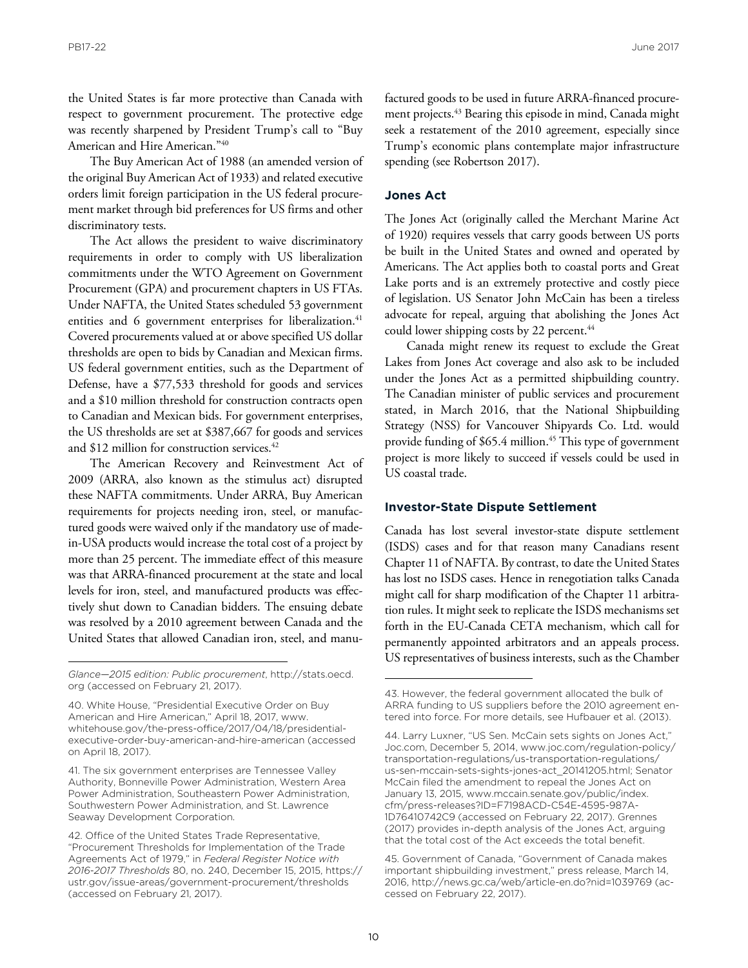the United States is far more protective than Canada with respect to government procurement. The protective edge was recently sharpened by President Trump's call to "Buy American and Hire American."40

The Buy American Act of 1988 (an amended version of the original Buy American Act of 1933) and related executive orders limit foreign participation in the US federal procurement market through bid preferences for US firms and other discriminatory tests.

The Act allows the president to waive discriminatory requirements in order to comply with US liberalization commitments under the WTO Agreement on Government Procurement (GPA) and procurement chapters in US FTAs. Under NAFTA, the United States scheduled 53 government entities and 6 government enterprises for liberalization.<sup>41</sup> Covered procurements valued at or above specified US dollar thresholds are open to bids by Canadian and Mexican firms. US federal government entities, such as the Department of Defense, have a \$77,533 threshold for goods and services and a \$10 million threshold for construction contracts open to Canadian and Mexican bids. For government enterprises, the US thresholds are set at \$387,667 for goods and services and  $$12$  million for construction services.<sup>42</sup>

The American Recovery and Reinvestment Act of 2009 (ARRA, also known as the stimulus act) disrupted these NAFTA commitments. Under ARRA, Buy American requirements for projects needing iron, steel, or manufactured goods were waived only if the mandatory use of madein-USA products would increase the total cost of a project by more than 25 percent. The immediate effect of this measure was that ARRA-financed procurement at the state and local levels for iron, steel, and manufactured products was effectively shut down to Canadian bidders. The ensuing debate was resolved by a 2010 agreement between Canada and the United States that allowed Canadian iron, steel, and manu-

41. The six government enterprises are Tennessee Valley Authority, Bonneville Power Administration, Western Area Power Administration, Southeastern Power Administration, Southwestern Power Administration, and St. Lawrence Seaway Development Corporation.

factured goods to be used in future ARRA-financed procurement projects.43 Bearing this episode in mind, Canada might seek a restatement of the 2010 agreement, especially since Trump's economic plans contemplate major infrastructure spending (see Robertson 2017).

#### **Jones Act**

The Jones Act (originally called the Merchant Marine Act of 1920) requires vessels that carry goods between US ports be built in the United States and owned and operated by Americans. The Act applies both to coastal ports and Great Lake ports and is an extremely protective and costly piece of legislation. US Senator John McCain has been a tireless advocate for repeal, arguing that abolishing the Jones Act could lower shipping costs by 22 percent.<sup>44</sup>

Canada might renew its request to exclude the Great Lakes from Jones Act coverage and also ask to be included under the Jones Act as a permitted shipbuilding country. The Canadian minister of public services and procurement stated, in March 2016, that the National Shipbuilding Strategy (NSS) for Vancouver Shipyards Co. Ltd. would provide funding of \$65.4 million.<sup>45</sup> This type of government project is more likely to succeed if vessels could be used in US coastal trade.

#### **Investor-State Dispute Settlement**

Canada has lost several investor-state dispute settlement (ISDS) cases and for that reason many Canadians resent Chapter 11 of NAFTA. By contrast, to date the United States has lost no ISDS cases. Hence in renegotiation talks Canada might call for sharp modification of the Chapter 11 arbitration rules. It might seek to replicate the ISDS mechanisms set forth in the EU-Canada CETA mechanism, which call for permanently appointed arbitrators and an appeals process. US representatives of business interests, such as the Chamber

*[Glance—2015 edition: Public procurement](http://stats.oecd.org)*, http://stats.oecd. org (accessed on February 21, 2017).

<sup>40.</sup> White House, "Presidential Executive Order on Buy American and Hire American," April 18, 2017, www. whitehouse.gov/the-press-office/2017/04/18/presidentialexecutive-order-buy-american-and-hire-american (accessed on April 18, 2017).

<sup>42.</sup> Office of the United States Trade Representative, "Procurement Thresholds for Implementation of the Trade Agreements Act of 1979," in *Federal Register Notice with 2016-2017 Thresholds* 80, no. 240, December 15, 2015, https:// ustr.gov/issue-areas/government-procurement/thresholds (accessed on February 21, 2017).

<sup>43.</sup> However, the federal government allocated the bulk of ARRA funding to US suppliers before the 2010 agreement entered into force. For more details, see Hufbauer et al. (2013).

<sup>44.</sup> Larry Luxner, "US Sen. McCain sets sights on Jones Act," [Joc.com, December 5, 2014, www.joc.com/regulation-policy/](www.joc.com/regulation-policy/transportation-regulations/us-transportation-regulations/us-sen-mccain-sets-sights-jones-act_20141205.html) transportation-regulations/us-transportation-regulations/ us-sen-mccain-sets-sights-jones-act\_20141205.html; Senator McCain filed the amendment to repeal the Jones Act on [January 13, 2015, www.mccain.senate.gov/public/index.](www.mccain.senate.gov/public/index.cfm/press-releases?ID=F7198ACD-C54E-4595-987A-1D76410742C9) cfm/press-releases?ID=F7198ACD-C54E-4595-987A-1D76410742C9 (accessed on February 22, 2017). Grennes (2017) provides in-depth analysis of the Jones Act, arguing that the total cost of the Act exceeds the total benefit.

<sup>45.</sup> Government of Canada, "Government of Canada makes important shipbuilding investment," press release, March 14, 2016, http://news.gc.ca/web/article-en.do?nid=1039769 (accessed on February 22, 2017).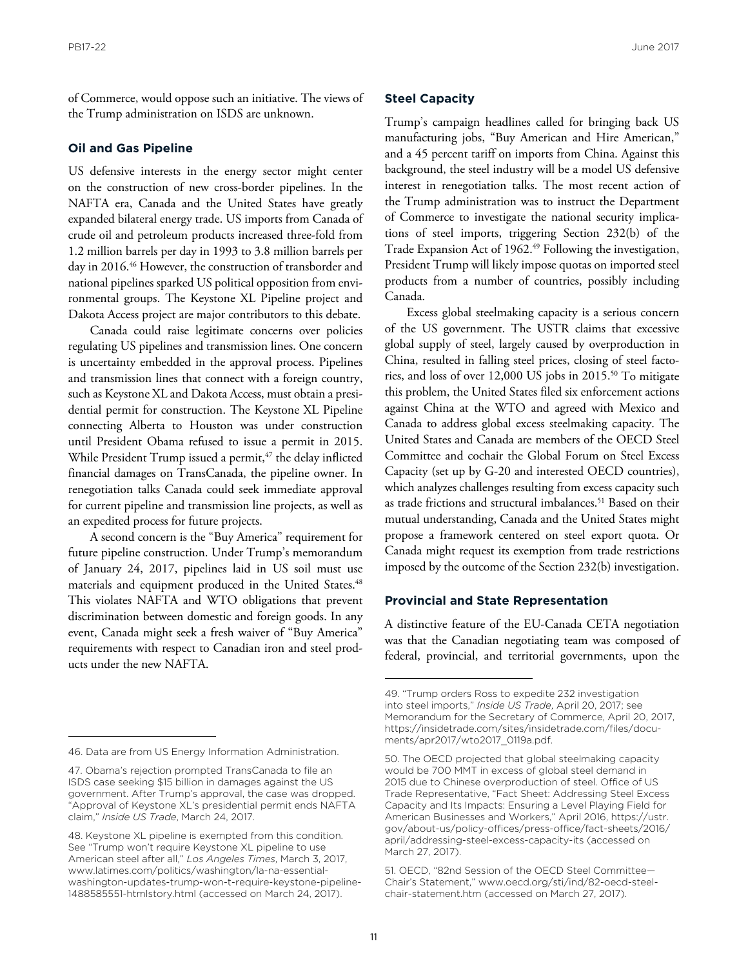of Commerce, would oppose such an initiative. The views of the Trump administration on ISDS are unknown.

#### **Oil and Gas Pipeline**

US defensive interests in the energy sector might center on the construction of new cross-border pipelines. In the NAFTA era, Canada and the United States have greatly expanded bilateral energy trade. US imports from Canada of crude oil and petroleum products increased three-fold from 1.2 million barrels per day in 1993 to 3.8 million barrels per day in 2016.46 However, the construction of transborder and national pipelines sparked US political opposition from environmental groups. The Keystone XL Pipeline project and Dakota Access project are major contributors to this debate.

Canada could raise legitimate concerns over policies regulating US pipelines and transmission lines. One concern is uncertainty embedded in the approval process. Pipelines and transmission lines that connect with a foreign country, such as Keystone XL and Dakota Access, must obtain a presidential permit for construction. The Keystone XL Pipeline connecting Alberta to Houston was under construction until President Obama refused to issue a permit in 2015. While President Trump issued a permit, $47$  the delay inflicted financial damages on TransCanada, the pipeline owner. In renegotiation talks Canada could seek immediate approval for current pipeline and transmission line projects, as well as an expedited process for future projects.

A second concern is the "Buy America" requirement for future pipeline construction. Under Trump's memorandum of January 24, 2017, pipelines laid in US soil must use materials and equipment produced in the United States.<sup>48</sup> This violates NAFTA and WTO obligations that prevent discrimination between domestic and foreign goods. In any event, Canada might seek a fresh waiver of "Buy America" requirements with respect to Canadian iron and steel products under the new NAFTA.

#### **Steel Capacity**

Trump's campaign headlines called for bringing back US manufacturing jobs, "Buy American and Hire American," and a 45 percent tariff on imports from China. Against this background, the steel industry will be a model US defensive interest in renegotiation talks. The most recent action of the Trump administration was to instruct the Department of Commerce to investigate the national security implications of steel imports, triggering Section 232(b) of the Trade Expansion Act of 1962.<sup>49</sup> Following the investigation, President Trump will likely impose quotas on imported steel products from a number of countries, possibly including Canada.

Excess global steelmaking capacity is a serious concern of the US government. The USTR claims that excessive global supply of steel, largely caused by overproduction in China, resulted in falling steel prices, closing of steel factories, and loss of over 12,000 US jobs in 2015.50 To mitigate this problem, the United States filed six enforcement actions against China at the WTO and agreed with Mexico and Canada to address global excess steelmaking capacity. The United States and Canada are members of the OECD Steel Committee and cochair the Global Forum on Steel Excess Capacity (set up by G-20 and interested OECD countries), which analyzes challenges resulting from excess capacity such as trade frictions and structural imbalances.<sup>51</sup> Based on their mutual understanding, Canada and the United States might propose a framework centered on steel export quota. Or Canada might request its exemption from trade restrictions imposed by the outcome of the Section 232(b) investigation.

#### **Provincial and State Representation**

A distinctive feature of the EU-Canada CETA negotiation was that the Canadian negotiating team was composed of federal, provincial, and territorial governments, upon the

<sup>46.</sup> Data are from US Energy Information Administration.

<sup>47.</sup> Obama's rejection prompted TransCanada to file an ISDS case seeking \$15 billion in damages against the US government. After Trump's approval, the case was dropped. "Approval of Keystone XL's presidential permit ends NAFTA claim," *Inside US Trade*, March 24, 2017.

<sup>48.</sup> Keystone XL pipeline is exempted from this condition. See "Trump won't require Keystone XL pipeline to use American steel after all," *Los Angeles Times*, March 3, 2017, www.latimes.com/politics/washington/la-na-essentialwashington-updates-trump-won-t-require-keystone-pipeline-1488585551-htmlstory.html (accessed on March 24, 2017).

<sup>49. &</sup>quot;Trump orders Ross to expedite 232 investigation into steel imports," *Inside US Trade*, April 20, 2017; see Memorandum for the Secretary of Commerce, April 20, 2017, https://insidetrade.com/sites/insidetrade.com/files/documents/apr2017/wto2017\_0119a.pdf.

<sup>50.</sup> The OECD projected that global steelmaking capacity would be 700 MMT in excess of global steel demand in 2015 due to Chinese overproduction of steel. Office of US Trade Representative, "Fact Sheet: Addressing Steel Excess Capacity and Its Impacts: Ensuring a Level Playing Field for American Businesses and Workers," April 2016, https://ustr. [gov/about-us/policy-offices/press-office/fact-sheets/2016/](https://ustr.gov/about-us/policy-offices/press-office/fact-sheets/2016/april/addressing-steel-excess-capacity-its) april/addressing-steel-excess-capacity-its (accessed on March 27, 2017).

<sup>51.</sup> OECD, "82nd Session of the OECD Steel Committee— Chair's Statement," www.oecd.org/sti/ind/82-oecd-steelchair-statement.htm (accessed on March 27, 2017).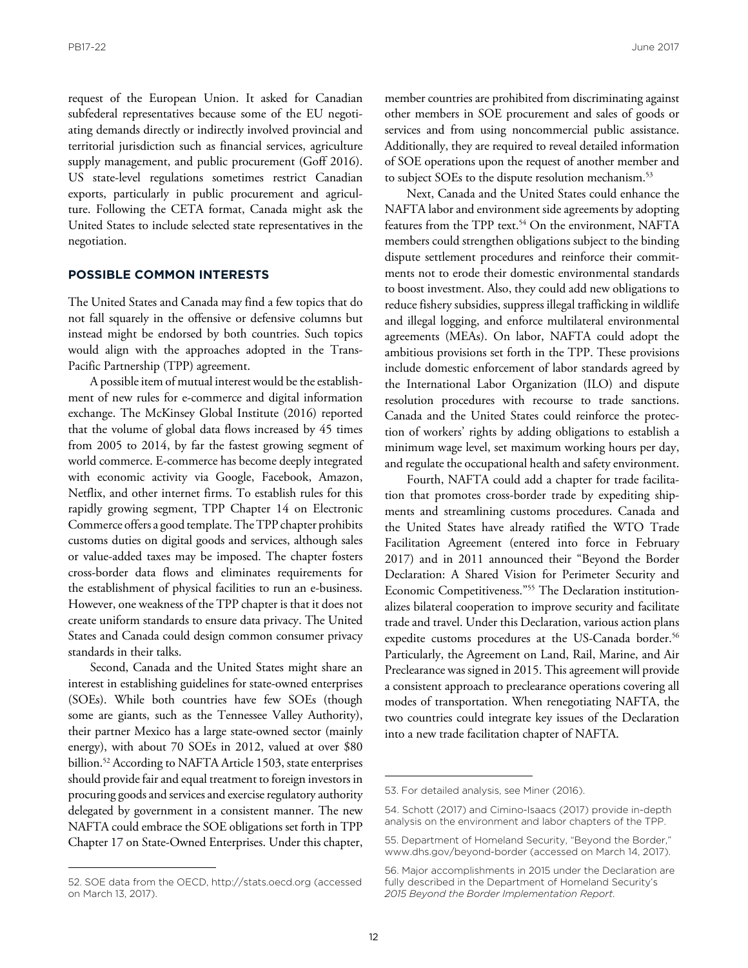request of the European Union. It asked for Canadian subfederal representatives because some of the EU negotiating demands directly or indirectly involved provincial and territorial jurisdiction such as financial services, agriculture supply management, and public procurement (Goff 2016). US state-level regulations sometimes restrict Canadian exports, particularly in public procurement and agriculture. Following the CETA format, Canada might ask the United States to include selected state representatives in the negotiation.

#### **POSSIBLE COMMON INTERESTS**

The United States and Canada may find a few topics that do not fall squarely in the offensive or defensive columns but instead might be endorsed by both countries. Such topics would align with the approaches adopted in the Trans-Pacific Partnership (TPP) agreement.

A possible item of mutual interest would be the establishment of new rules for e-commerce and digital information exchange. The McKinsey Global Institute (2016) reported that the volume of global data flows increased by 45 times from 2005 to 2014, by far the fastest growing segment of world commerce. E-commerce has become deeply integrated with economic activity via Google, Facebook, Amazon, Netflix, and other internet firms. To establish rules for this rapidly growing segment, TPP Chapter 14 on Electronic Commerce offers a good template. The TPP chapter prohibits customs duties on digital goods and services, although sales or value-added taxes may be imposed. The chapter fosters cross-border data flows and eliminates requirements for the establishment of physical facilities to run an e-business. However, one weakness of the TPP chapter is that it does not create uniform standards to ensure data privacy. The United States and Canada could design common consumer privacy standards in their talks.

Second, Canada and the United States might share an interest in establishing guidelines for state-owned enterprises (SOEs). While both countries have few SOEs (though some are giants, such as the Tennessee Valley Authority), their partner Mexico has a large state-owned sector (mainly energy), with about 70 SOEs in 2012, valued at over \$80 billion.<sup>52</sup> According to NAFTA Article 1503, state enterprises should provide fair and equal treatment to foreign investors in procuring goods and services and exercise regulatory authority delegated by government in a consistent manner. The new NAFTA could embrace the SOE obligations set forth in TPP Chapter 17 on State-Owned Enterprises. Under this chapter, member countries are prohibited from discriminating against other members in SOE procurement and sales of goods or services and from using noncommercial public assistance. Additionally, they are required to reveal detailed information of SOE operations upon the request of another member and to subject SOEs to the dispute resolution mechanism.<sup>53</sup>

Next, Canada and the United States could enhance the NAFTA labor and environment side agreements by adopting features from the TPP text.<sup>54</sup> On the environment, NAFTA members could strengthen obligations subject to the binding dispute settlement procedures and reinforce their commitments not to erode their domestic environmental standards to boost investment. Also, they could add new obligations to reduce fishery subsidies, suppress illegal trafficking in wildlife and illegal logging, and enforce multilateral environmental agreements (MEAs). On labor, NAFTA could adopt the ambitious provisions set forth in the TPP. These provisions include domestic enforcement of labor standards agreed by the International Labor Organization (ILO) and dispute resolution procedures with recourse to trade sanctions. Canada and the United States could reinforce the protection of workers' rights by adding obligations to establish a minimum wage level, set maximum working hours per day, and regulate the occupational health and safety environment.

Fourth, NAFTA could add a chapter for trade facilitation that promotes cross-border trade by expediting shipments and streamlining customs procedures. Canada and the United States have already ratified the WTO Trade Facilitation Agreement (entered into force in February 2017) and in 2011 announced their "Beyond the Border Declaration: A Shared Vision for Perimeter Security and Economic Competitiveness."55 The Declaration institutionalizes bilateral cooperation to improve security and facilitate trade and travel. Under this Declaration, various action plans expedite customs procedures at the US-Canada border.<sup>56</sup> Particularly, the Agreement on Land, Rail, Marine, and Air Preclearance was signed in 2015. This agreement will provide a consistent approach to preclearance operations covering all modes of transportation. When renegotiating NAFTA, the two countries could integrate key issues of the Declaration into a new trade facilitation chapter of NAFTA.

<sup>52.</sup> SOE data from the OECD, http://stats.oecd.org (accessed on March 13, 2017).

<sup>53.</sup> For detailed analysis, see Miner (2016).

<sup>54.</sup> Schott (2017) and Cimino-Isaacs (2017) provide in-depth analysis on the environment and labor chapters of the TPP.

<sup>55.</sup> Department of Homeland Security, "Beyond the Border," www.dhs.gov/beyond-border (accessed on March 14, 2017).

<sup>56.</sup> Major accomplishments in 2015 under the Declaration are fully described in the Department of Homeland Security's *2015 Beyond the Border Implementation Report*.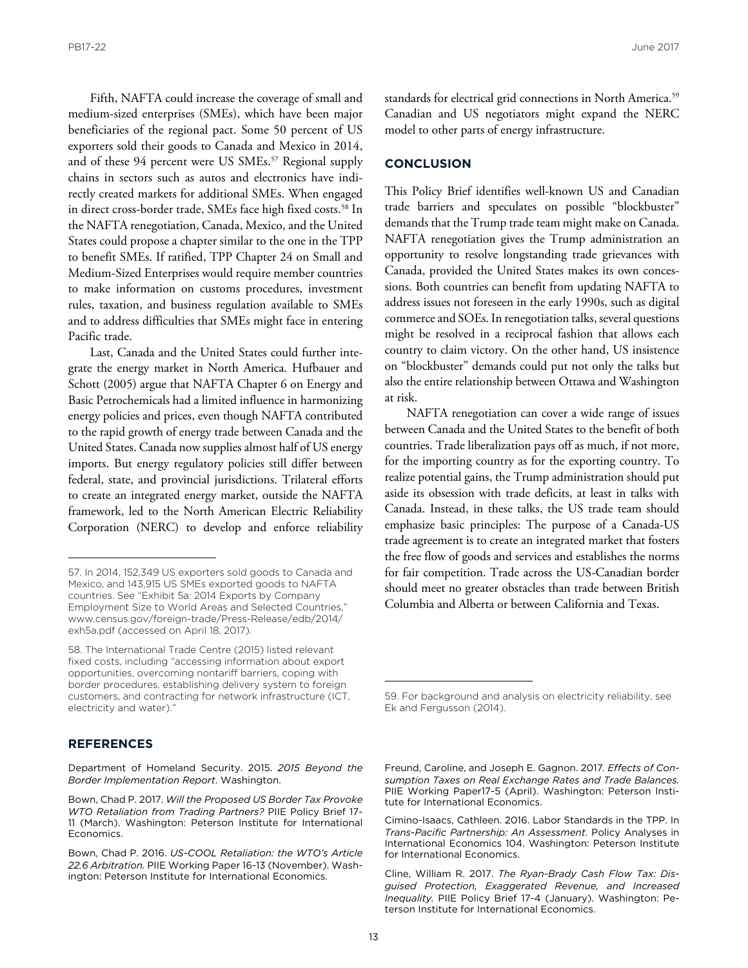Fifth, NAFTA could increase the coverage of small and medium-sized enterprises (SMEs), which have been major beneficiaries of the regional pact. Some 50 percent of US exporters sold their goods to Canada and Mexico in 2014, and of these 94 percent were US SMEs.<sup>57</sup> Regional supply chains in sectors such as autos and electronics have indirectly created markets for additional SMEs. When engaged in direct cross-border trade, SMEs face high fixed costs.<sup>58</sup> In the NAFTA renegotiation, Canada, Mexico, and the United States could propose a chapter similar to the one in the TPP to benefit SMEs. If ratified, TPP Chapter 24 on Small and Medium-Sized Enterprises would require member countries to make information on customs procedures, investment rules, taxation, and business regulation available to SMEs and to address difficulties that SMEs might face in entering Pacific trade.

Last, Canada and the United States could further integrate the energy market in North America. Hufbauer and Schott (2005) argue that NAFTA Chapter 6 on Energy and Basic Petrochemicals had a limited influence in harmonizing energy policies and prices, even though NAFTA contributed to the rapid growth of energy trade between Canada and the United States. Canada now supplies almost half of US energy imports. But energy regulatory policies still differ between federal, state, and provincial jurisdictions. Trilateral efforts to create an integrated energy market, outside the NAFTA framework, led to the North American Electric Reliability Corporation (NERC) to develop and enforce reliability

#### **REFERENCES**

Department of Homeland Security. 2015. *2015 Beyond the Border Implementation Report*. Washington.

standards for electrical grid connections in North America.<sup>59</sup> Canadian and US negotiators might expand the NERC model to other parts of energy infrastructure.

#### **CONCLUSION**

This Policy Brief identifies well-known US and Canadian trade barriers and speculates on possible "blockbuster" demands that the Trump trade team might make on Canada. NAFTA renegotiation gives the Trump administration an opportunity to resolve longstanding trade grievances with Canada, provided the United States makes its own concessions. Both countries can benefit from updating NAFTA to address issues not foreseen in the early 1990s, such as digital commerce and SOEs. In renegotiation talks, several questions might be resolved in a reciprocal fashion that allows each country to claim victory. On the other hand, US insistence on "blockbuster" demands could put not only the talks but also the entire relationship between Ottawa and Washington at risk.

NAFTA renegotiation can cover a wide range of issues between Canada and the United States to the benefit of both countries. Trade liberalization pays off as much, if not more, for the importing country as for the exporting country. To realize potential gains, the Trump administration should put aside its obsession with trade deficits, at least in talks with Canada. Instead, in these talks, the US trade team should emphasize basic principles: The purpose of a Canada-US trade agreement is to create an integrated market that fosters the free flow of goods and services and establishes the norms for fair competition. Trade across the US-Canadian border should meet no greater obstacles than trade between British Columbia and Alberta or between California and Texas.

<sup>57.</sup> In 2014, 152,349 US exporters sold goods to Canada and Mexico, and 143,915 US SMEs exported goods to NAFTA countries. See "Exhibit 5a: 2014 Exports by Company Employment Size to World Areas and Selected Countries," [www.census.gov/foreign-trade/Press-Release/edb/2014/](www.census.gov/foreign-trade/Press-Release/edb/2014/exh5a.pdf) exh5a.pdf (accessed on April 18, 2017).

<sup>58.</sup> The International Trade Centre (2015) listed relevant fixed costs, including "accessing information about export opportunities, overcoming nontariff barriers, coping with border procedures, establishing delivery system to foreign customers, and contracting for network infrastructure (ICT, electricity and water)."

Bown, Chad P. 2017. *Will the Proposed US Border Tax Provoke WTO Retaliation from Trading Partners?* PIIE Policy Brief 17- 11 (March). Washington: Peterson Institute for International Economics.

Bown, Chad P. 2016. *US-COOL Retaliation: the WTO's Article 22.6 Arbitration.* PIIE Working Paper 16-13 (November). Washington: Peterson Institute for International Economics.

<sup>59.</sup> For background and analysis on electricity reliability, see Ek and Fergusson (2014).

Freund, Caroline, and Joseph E. Gagnon. 2017*. Effects of Consumption Taxes on Real Exchange Rates and Trade Balances.*  PIIE Working Paper17-5 (April). Washington: Peterson Institute for International Economics.

Cimino-Isaacs, Cathleen. 2016. Labor Standards in the TPP. In *Trans-Pacific Partnership: An Assessment*. Policy Analyses in International Economics 104. Washington: Peterson Institute for International Economics.

Cline, William R. 2017. *The Ryan-Brady Cash Flow Tax: Disguised Protection, Exaggerated Revenue, and Increased Inequality.* PIIE Policy Brief 17-4 (January). Washington: Peterson Institute for International Economics.